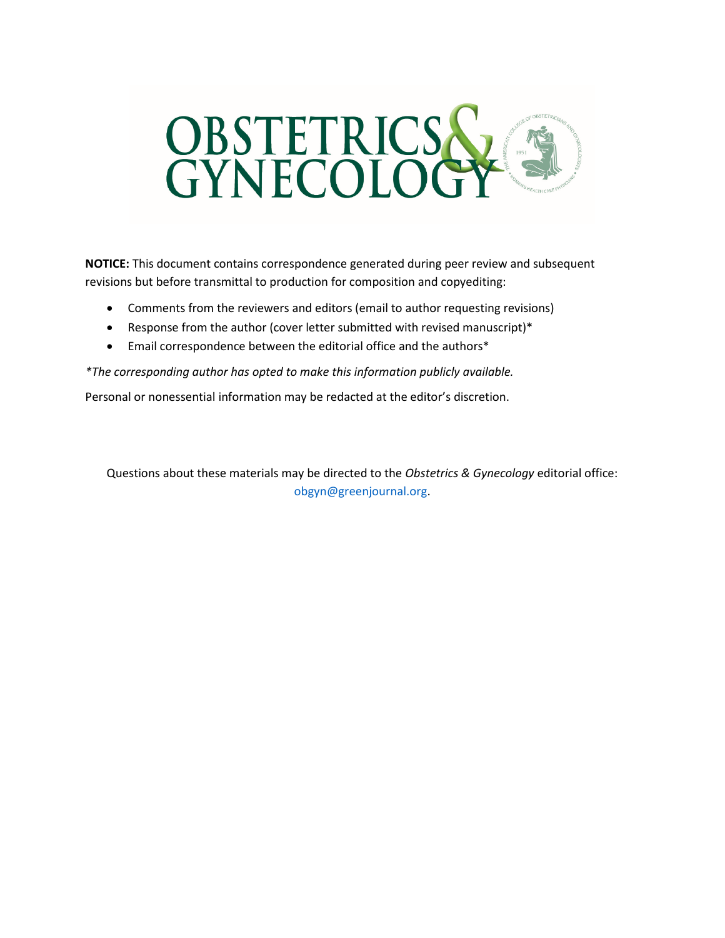

**NOTICE:** This document contains correspondence generated during peer review and subsequent revisions but before transmittal to production for composition and copyediting:

- Comments from the reviewers and editors (email to author requesting revisions)
- Response from the author (cover letter submitted with revised manuscript)\*
- Email correspondence between the editorial office and the authors\*

*\*The corresponding author has opted to make this information publicly available.*

Personal or nonessential information may be redacted at the editor's discretion.

Questions about these materials may be directed to the *Obstetrics & Gynecology* editorial office: obgyn@greenjournal.org.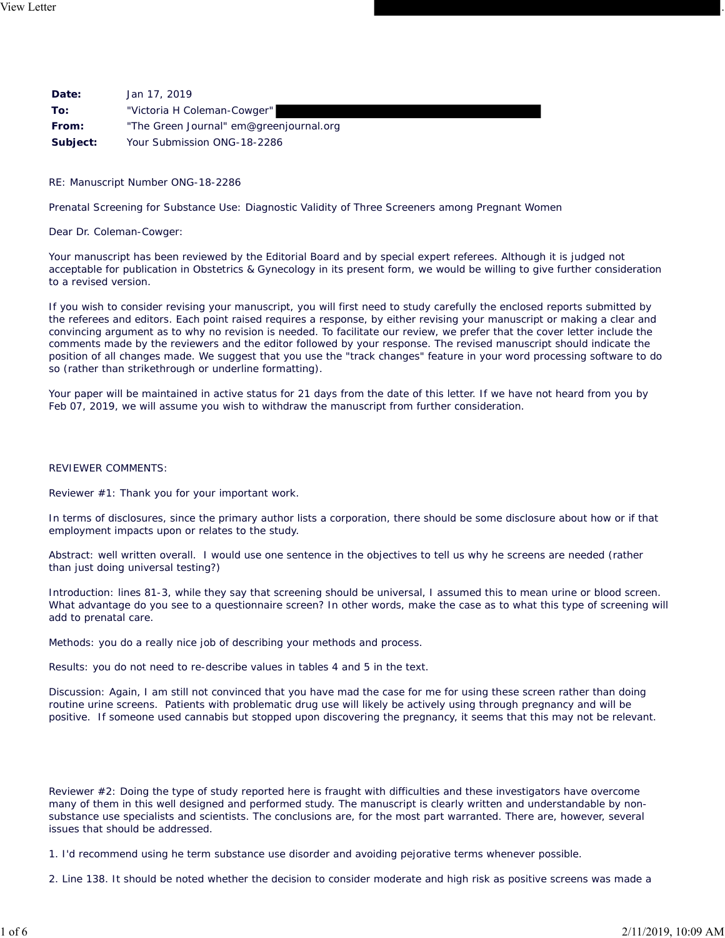| Date:    | Jan 17, 2019                            |
|----------|-----------------------------------------|
| To:      | "Victoria H Coleman-Cowger"             |
| From:    | "The Green Journal" em@greenjournal.org |
| Subject: | Your Submission ONG-18-2286             |

RE: Manuscript Number ONG-18-2286

Prenatal Screening for Substance Use: Diagnostic Validity of Three Screeners among Pregnant Women

Dear Dr. Coleman-Cowger:

Your manuscript has been reviewed by the Editorial Board and by special expert referees. Although it is judged not acceptable for publication in Obstetrics & Gynecology in its present form, we would be willing to give further consideration to a revised version.

If you wish to consider revising your manuscript, you will first need to study carefully the enclosed reports submitted by the referees and editors. Each point raised requires a response, by either revising your manuscript or making a clear and convincing argument as to why no revision is needed. To facilitate our review, we prefer that the cover letter include the comments made by the reviewers and the editor followed by your response. The revised manuscript should indicate the position of all changes made. We suggest that you use the "track changes" feature in your word processing software to do so (rather than strikethrough or underline formatting).

Your paper will be maintained in active status for 21 days from the date of this letter. If we have not heard from you by Feb 07, 2019, we will assume you wish to withdraw the manuscript from further consideration.

#### REVIEWER COMMENTS:

Reviewer #1: Thank you for your important work.

In terms of disclosures, since the primary author lists a corporation, there should be some disclosure about how or if that employment impacts upon or relates to the study.

Abstract: well written overall. I would use one sentence in the objectives to tell us why he screens are needed (rather than just doing universal testing?)

Introduction: lines 81-3, while they say that screening should be universal, I assumed this to mean urine or blood screen. What advantage do you see to a questionnaire screen? In other words, make the case as to what this type of screening will add to prenatal care.

Methods: you do a really nice job of describing your methods and process.

Results: you do not need to re-describe values in tables 4 and 5 in the text.

Discussion: Again, I am still not convinced that you have mad the case for me for using these screen rather than doing routine urine screens. Patients with problematic drug use will likely be actively using through pregnancy and will be positive. If someone used cannabis but stopped upon discovering the pregnancy, it seems that this may not be relevant.

Reviewer #2: Doing the type of study reported here is fraught with difficulties and these investigators have overcome many of them in this well designed and performed study. The manuscript is clearly written and understandable by nonsubstance use specialists and scientists. The conclusions are, for the most part warranted. There are, however, several issues that should be addressed.

1. I'd recommend using he term substance use disorder and avoiding pejorative terms whenever possible.

2. Line 138. It should be noted whether the decision to consider moderate and high risk as positive screens was made a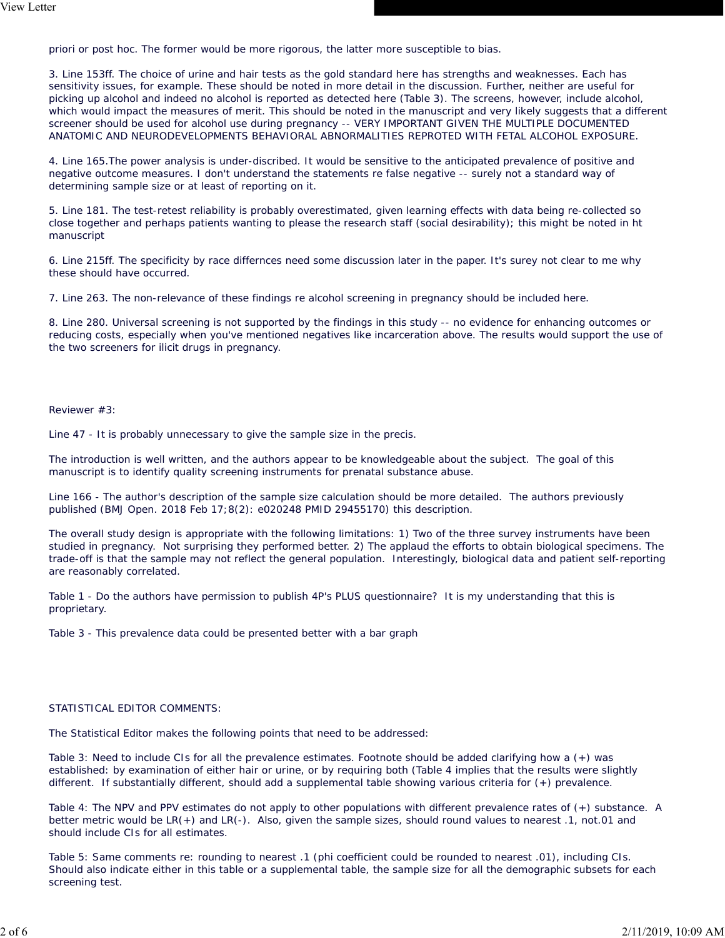priori or post hoc. The former would be more rigorous, the latter more susceptible to bias.

3. Line 153ff. The choice of urine and hair tests as the gold standard here has strengths and weaknesses. Each has sensitivity issues, for example. These should be noted in more detail in the discussion. Further, neither are useful for picking up alcohol and indeed no alcohol is reported as detected here (Table 3). The screens, however, include alcohol, which would impact the measures of merit. This should be noted in the manuscript and very likely suggests that a different screener should be used for alcohol use during pregnancy -- VERY IMPORTANT GIVEN THE MULTIPLE DOCUMENTED ANATOMIC AND NEURODEVELOPMENTS BEHAVIORAL ABNORMALITIES REPROTED WITH FETAL ALCOHOL EXPOSURE.

4. Line 165.The power analysis is under-discribed. It would be sensitive to the anticipated prevalence of positive and negative outcome measures. I don't understand the statements re false negative -- surely not a standard way of determining sample size or at least of reporting on it.

5. Line 181. The test-retest reliability is probably overestimated, given learning effects with data being re-collected so close together and perhaps patients wanting to please the research staff (social desirability); this might be noted in ht manuscript

6. Line 215ff. The specificity by race differnces need some discussion later in the paper. It's surey not clear to me why these should have occurred.

7. Line 263. The non-relevance of these findings re alcohol screening in pregnancy should be included here.

8. Line 280. Universal screening is not supported by the findings in this study -- no evidence for enhancing outcomes or reducing costs, especially when you've mentioned negatives like incarceration above. The results would support the use of the two screeners for ilicit drugs in pregnancy.

#### Reviewer #3:

Line 47 - It is probably unnecessary to give the sample size in the precis.

The introduction is well written, and the authors appear to be knowledgeable about the subject. The goal of this manuscript is to identify quality screening instruments for prenatal substance abuse.

Line 166 - The author's description of the sample size calculation should be more detailed. The authors previously published (BMJ Open. 2018 Feb 17;8(2): e020248 PMID 29455170) this description.

The overall study design is appropriate with the following limitations: 1) Two of the three survey instruments have been studied in pregnancy. Not surprising they performed better. 2) The applaud the efforts to obtain biological specimens. The trade-off is that the sample may not reflect the general population. Interestingly, biological data and patient self-reporting are reasonably correlated.

Table 1 - Do the authors have permission to publish 4P's PLUS questionnaire? It is my understanding that this is proprietary.

Table 3 - This prevalence data could be presented better with a bar graph

#### STATISTICAL EDITOR COMMENTS:

The Statistical Editor makes the following points that need to be addressed:

Table 3: Need to include CIs for all the prevalence estimates. Footnote should be added clarifying how a (+) was established: by examination of either hair or urine, or by requiring both (Table 4 implies that the results were slightly different. If substantially different, should add a supplemental table showing various criteria for (+) prevalence.

Table 4: The NPV and PPV estimates do not apply to other populations with different prevalence rates of (+) substance. A better metric would be LR(+) and LR(-). Also, given the sample sizes, should round values to nearest .1, not.01 and should include CIs for all estimates.

Table 5: Same comments re: rounding to nearest .1 (phi coefficient could be rounded to nearest .01), including CIs. Should also indicate either in this table or a supplemental table, the sample size for all the demographic subsets for each screening test.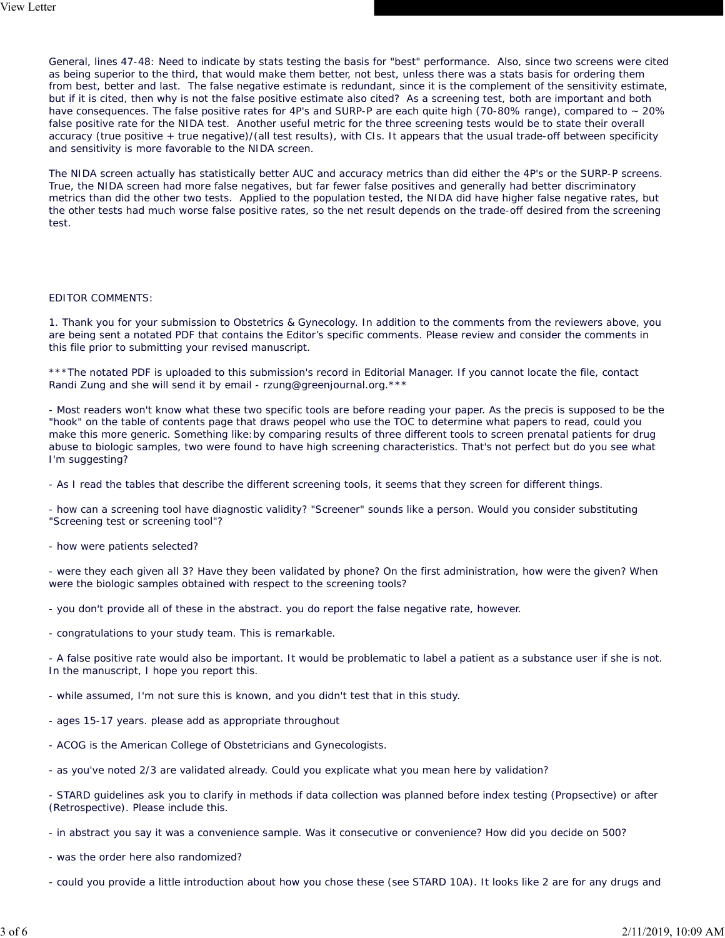General, lines 47-48: Need to indicate by stats testing the basis for "best" performance. Also, since two screens were cited as being superior to the third, that would make them better, not best, unless there was a stats basis for ordering them from best, better and last. The false negative estimate is redundant, since it is the complement of the sensitivity estimate, but if it is cited, then why is not the false positive estimate also cited? As a screening test, both are important and both have consequences. The false positive rates for 4P's and SURP-P are each quite high (70-80% range), compared to ~ 20% false positive rate for the NIDA test. Another useful metric for the three screening tests would be to state their overall accuracy (true positive + true negative)/(all test results), with CIs. It appears that the usual trade-off between specificity and sensitivity is more favorable to the NIDA screen.

The NIDA screen actually has statistically better AUC and accuracy metrics than did either the 4P's or the SURP-P screens. True, the NIDA screen had more false negatives, but far fewer false positives and generally had better discriminatory metrics than did the other two tests. Applied to the population tested, the NIDA did have higher false negative rates, but the other tests had much worse false positive rates, so the net result depends on the trade-off desired from the screening test.

#### EDITOR COMMENTS:

1. Thank you for your submission to Obstetrics & Gynecology. In addition to the comments from the reviewers above, you are being sent a notated PDF that contains the Editor's specific comments. Please review and consider the comments in this file prior to submitting your revised manuscript.

\*\*\*The notated PDF is uploaded to this submission's record in Editorial Manager. If you cannot locate the file, contact Randi Zung and she will send it by email - rzung@greenjournal.org.\*\*\*

- Most readers won't know what these two specific tools are before reading your paper. As the precis is supposed to be the "hook" on the table of contents page that draws peopel who use the TOC to determine what papers to read, could you make this more generic. Something like:by comparing results of three different tools to screen prenatal patients for drug abuse to biologic samples, two were found to have high screening characteristics. That's not perfect but do you see what I'm suggesting?

- As I read the tables that describe the different screening tools, it seems that they screen for different things.

- how can a screening tool have diagnostic validity? "Screener" sounds like a person. Would you consider substituting "Screening test or screening tool"?

- how were patients selected?

- were they each given all 3? Have they been validated by phone? On the first administration, how were the given? When were the biologic samples obtained with respect to the screening tools?

- you don't provide all of these in the abstract. you do report the false negative rate, however.

- congratulations to your study team. This is remarkable.

- A false positive rate would also be important. It would be problematic to label a patient as a substance user if she is not. In the manuscript, I hope you report this.

- while assumed, I'm not sure this is known, and you didn't test that in this study.
- ages 15-17 years. please add as appropriate throughout
- ACOG is the American College of Obstetricians and Gynecologists.
- as you've noted 2/3 are validated already. Could you explicate what you mean here by validation?
- STARD guidelines ask you to clarify in methods if data collection was planned before index testing (Propsective) or after (Retrospective). Please include this.
- in abstract you say it was a convenience sample. Was it consecutive or convenience? How did you decide on 500?
- was the order here also randomized?
- could you provide a little introduction about how you chose these (see STARD 10A). It looks like 2 are for any drugs and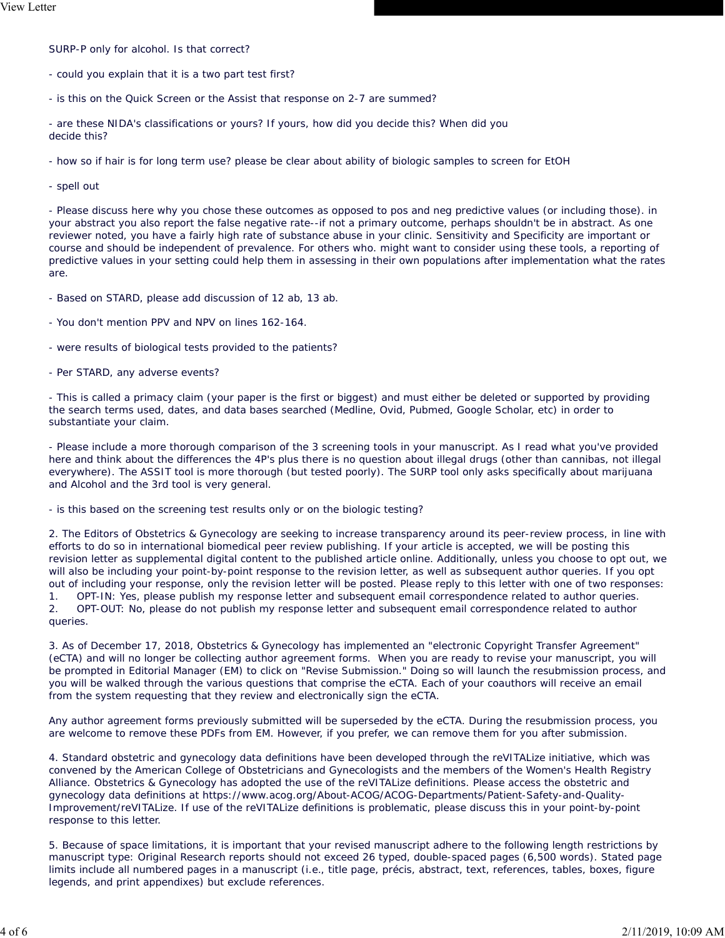SURP-P only for alcohol. Is that correct?

- could you explain that it is a two part test first?

- is this on the Quick Screen or the Assist that response on 2-7 are summed?

- are these NIDA's classifications or yours? If yours, how did you decide this? When did you decide this?

- how so if hair is for long term use? please be clear about ability of biologic samples to screen for EtOH

- spell out

- Please discuss here why you chose these outcomes as opposed to pos and neg predictive values (or including those). in your abstract you also report the false negative rate--if not a primary outcome, perhaps shouldn't be in abstract. As one reviewer noted, you have a fairly high rate of substance abuse in your clinic. Sensitivity and Specificity are important or course and should be independent of prevalence. For others who. might want to consider using these tools, a reporting of predictive values in your setting could help them in assessing in their own populations after implementation what the rates are.

- Based on STARD, please add discussion of 12 ab, 13 ab.
- You don't mention PPV and NPV on lines 162-164.

- were results of biological tests provided to the patients?

- Per STARD, any adverse events?

- This is called a primacy claim (your paper is the first or biggest) and must either be deleted or supported by providing the search terms used, dates, and data bases searched (Medline, Ovid, Pubmed, Google Scholar, etc) in order to substantiate your claim.

- Please include a more thorough comparison of the 3 screening tools in your manuscript. As I read what you've provided here and think about the differences the 4P's plus there is no question about illegal drugs (other than cannibas, not illegal everywhere). The ASSIT tool is more thorough (but tested poorly). The SURP tool only asks specifically about marijuana and Alcohol and the 3rd tool is very general.

- is this based on the screening test results only or on the biologic testing?

2. The Editors of Obstetrics & Gynecology are seeking to increase transparency around its peer-review process, in line with efforts to do so in international biomedical peer review publishing. If your article is accepted, we will be posting this revision letter as supplemental digital content to the published article online. Additionally, unless you choose to opt out, we will also be including your point-by-point response to the revision letter, as well as subsequent author queries. If you opt out of including your response, only the revision letter will be posted. Please reply to this letter with one of two responses: 1. OPT-IN: Yes, please publish my response letter and subsequent email correspondence related to author queries. 2. OPT-OUT: No, please do not publish my response letter and subsequent email correspondence related to author queries.

3. As of December 17, 2018, Obstetrics & Gynecology has implemented an "electronic Copyright Transfer Agreement" (eCTA) and will no longer be collecting author agreement forms. When you are ready to revise your manuscript, you will be prompted in Editorial Manager (EM) to click on "Revise Submission." Doing so will launch the resubmission process, and you will be walked through the various questions that comprise the eCTA. Each of your coauthors will receive an email from the system requesting that they review and electronically sign the eCTA.

Any author agreement forms previously submitted will be superseded by the eCTA. During the resubmission process, you are welcome to remove these PDFs from EM. However, if you prefer, we can remove them for you after submission.

4. Standard obstetric and gynecology data definitions have been developed through the reVITALize initiative, which was convened by the American College of Obstetricians and Gynecologists and the members of the Women's Health Registry Alliance. Obstetrics & Gynecology has adopted the use of the reVITALize definitions. Please access the obstetric and gynecology data definitions at https://www.acog.org/About-ACOG/ACOG-Departments/Patient-Safety-and-Quality-Improvement/reVITALize. If use of the reVITALize definitions is problematic, please discuss this in your point-by-point response to this letter.

5. Because of space limitations, it is important that your revised manuscript adhere to the following length restrictions by manuscript type: Original Research reports should not exceed 26 typed, double-spaced pages (6,500 words). Stated page limits include all numbered pages in a manuscript (i.e., title page, précis, abstract, text, references, tables, boxes, figure legends, and print appendixes) but exclude references.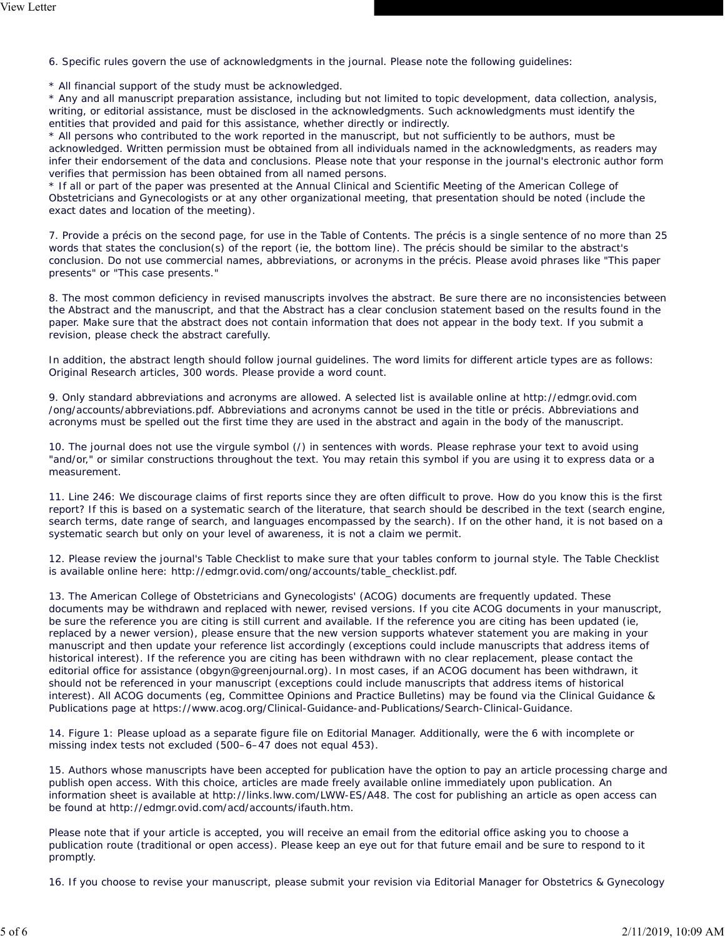6. Specific rules govern the use of acknowledgments in the journal. Please note the following guidelines:

\* All financial support of the study must be acknowledged.

\* Any and all manuscript preparation assistance, including but not limited to topic development, data collection, analysis, writing, or editorial assistance, must be disclosed in the acknowledgments. Such acknowledgments must identify the entities that provided and paid for this assistance, whether directly or indirectly.

\* All persons who contributed to the work reported in the manuscript, but not sufficiently to be authors, must be acknowledged. Written permission must be obtained from all individuals named in the acknowledgments, as readers may infer their endorsement of the data and conclusions. Please note that your response in the journal's electronic author form verifies that permission has been obtained from all named persons.

\* If all or part of the paper was presented at the Annual Clinical and Scientific Meeting of the American College of Obstetricians and Gynecologists or at any other organizational meeting, that presentation should be noted (include the exact dates and location of the meeting).

7. Provide a précis on the second page, for use in the Table of Contents. The précis is a single sentence of no more than 25 words that states the conclusion(s) of the report (ie, the bottom line). The précis should be similar to the abstract's conclusion. Do not use commercial names, abbreviations, or acronyms in the précis. Please avoid phrases like "This paper presents" or "This case presents."

8. The most common deficiency in revised manuscripts involves the abstract. Be sure there are no inconsistencies between the Abstract and the manuscript, and that the Abstract has a clear conclusion statement based on the results found in the paper. Make sure that the abstract does not contain information that does not appear in the body text. If you submit a revision, please check the abstract carefully.

In addition, the abstract length should follow journal guidelines. The word limits for different article types are as follows: Original Research articles, 300 words. Please provide a word count.

9. Only standard abbreviations and acronyms are allowed. A selected list is available online at http://edmgr.ovid.com /ong/accounts/abbreviations.pdf. Abbreviations and acronyms cannot be used in the title or précis. Abbreviations and acronyms must be spelled out the first time they are used in the abstract and again in the body of the manuscript.

10. The journal does not use the virgule symbol (/) in sentences with words. Please rephrase your text to avoid using "and/or," or similar constructions throughout the text. You may retain this symbol if you are using it to express data or a measurement.

11. Line 246: We discourage claims of first reports since they are often difficult to prove. How do you know this is the first report? If this is based on a systematic search of the literature, that search should be described in the text (search engine, search terms, date range of search, and languages encompassed by the search). If on the other hand, it is not based on a systematic search but only on your level of awareness, it is not a claim we permit.

12. Please review the journal's Table Checklist to make sure that your tables conform to journal style. The Table Checklist is available online here: http://edmgr.ovid.com/ong/accounts/table\_checklist.pdf.

13. The American College of Obstetricians and Gynecologists' (ACOG) documents are frequently updated. These documents may be withdrawn and replaced with newer, revised versions. If you cite ACOG documents in your manuscript, be sure the reference you are citing is still current and available. If the reference you are citing has been updated (ie, replaced by a newer version), please ensure that the new version supports whatever statement you are making in your manuscript and then update your reference list accordingly (exceptions could include manuscripts that address items of historical interest). If the reference you are citing has been withdrawn with no clear replacement, please contact the editorial office for assistance (obgyn@greenjournal.org). In most cases, if an ACOG document has been withdrawn, it should not be referenced in your manuscript (exceptions could include manuscripts that address items of historical interest). All ACOG documents (eg, Committee Opinions and Practice Bulletins) may be found via the Clinical Guidance & Publications page at https://www.acog.org/Clinical-Guidance-and-Publications/Search-Clinical-Guidance.

14. Figure 1: Please upload as a separate figure file on Editorial Manager. Additionally, were the 6 with incomplete or missing index tests not excluded (500–6–47 does not equal 453).

15. Authors whose manuscripts have been accepted for publication have the option to pay an article processing charge and publish open access. With this choice, articles are made freely available online immediately upon publication. An information sheet is available at http://links.lww.com/LWW-ES/A48. The cost for publishing an article as open access can be found at http://edmgr.ovid.com/acd/accounts/ifauth.htm.

Please note that if your article is accepted, you will receive an email from the editorial office asking you to choose a publication route (traditional or open access). Please keep an eye out for that future email and be sure to respond to it promptly.

16. If you choose to revise your manuscript, please submit your revision via Editorial Manager for Obstetrics & Gynecology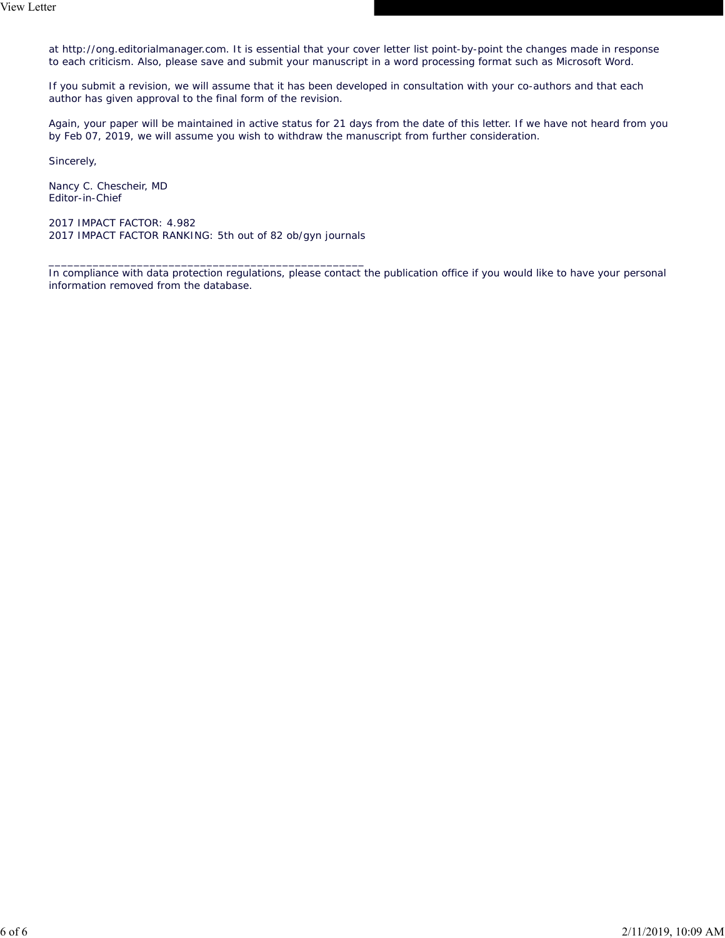at http://ong.editorialmanager.com. It is essential that your cover letter list point-by-point the changes made in response to each criticism. Also, please save and submit your manuscript in a word processing format such as Microsoft Word.

If you submit a revision, we will assume that it has been developed in consultation with your co-authors and that each author has given approval to the final form of the revision.

Again, your paper will be maintained in active status for 21 days from the date of this letter. If we have not heard from you by Feb 07, 2019, we will assume you wish to withdraw the manuscript from further consideration.

Sincerely,

Nancy C. Chescheir, MD Editor-in-Chief

2017 IMPACT FACTOR: 4.982 2017 IMPACT FACTOR RANKING: 5th out of 82 ob/gyn journals

\_\_\_\_\_\_\_\_\_\_\_\_\_\_\_\_\_\_\_\_\_\_\_\_\_\_\_\_\_\_\_\_\_\_\_\_\_\_\_\_\_\_\_\_\_\_\_\_\_\_

In compliance with data protection regulations, please contact the publication office if you would like to have your personal information removed from the database.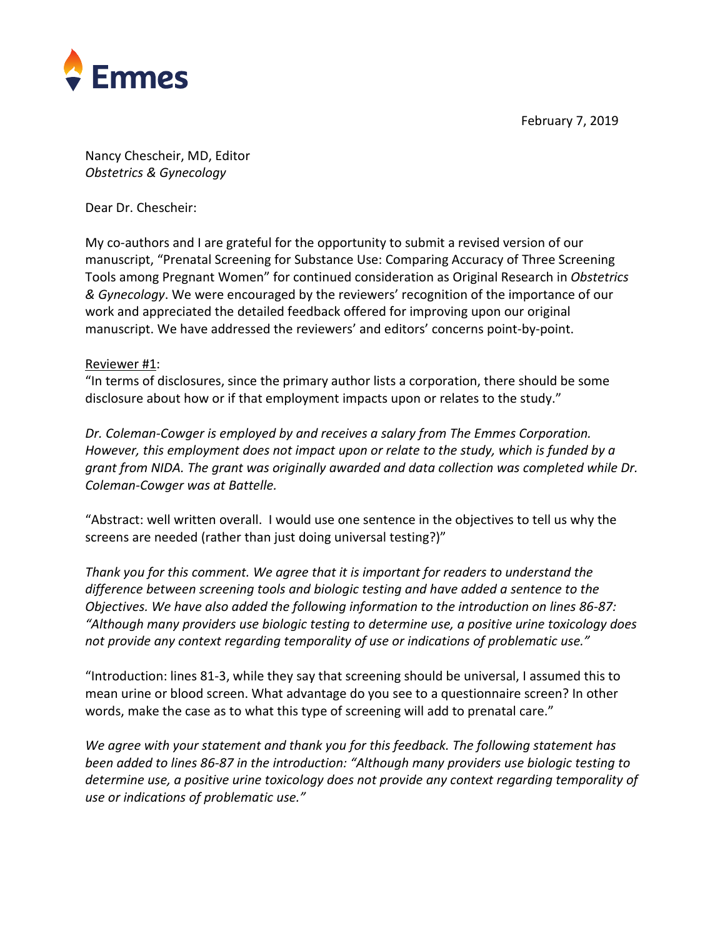

February 7, 2019

Nancy Chescheir, MD, Editor *Obstetrics & Gynecology*

Dear Dr. Chescheir:

My co-authors and I are grateful for the opportunity to submit a revised version of our manuscript, "Prenatal Screening for Substance Use: Comparing Accuracy of Three Screening Tools among Pregnant Women" for continued consideration as Original Research in *Obstetrics & Gynecology*. We were encouraged by the reviewers' recognition of the importance of our work and appreciated the detailed feedback offered for improving upon our original manuscript. We have addressed the reviewers' and editors' concerns point-by-point.

#### Reviewer #1:

"In terms of disclosures, since the primary author lists a corporation, there should be some disclosure about how or if that employment impacts upon or relates to the study."

*Dr. Coleman-Cowger is employed by and receives a salary from The Emmes Corporation. However, this employment does not impact upon or relate to the study, which is funded by a grant from NIDA. The grant was originally awarded and data collection was completed while Dr. Coleman-Cowger was at Battelle.*

"Abstract: well written overall. I would use one sentence in the objectives to tell us why the screens are needed (rather than just doing universal testing?)"

*Thank you for this comment. We agree that it is important for readers to understand the difference between screening tools and biologic testing and have added a sentence to the Objectives. We have also added the following information to the introduction on lines 86-87: "Although many providers use biologic testing to determine use, a positive urine toxicology does not provide any context regarding temporality of use or indications of problematic use."*

"Introduction: lines 81-3, while they say that screening should be universal, I assumed this to mean urine or blood screen. What advantage do you see to a questionnaire screen? In other words, make the case as to what this type of screening will add to prenatal care."

*We agree with your statement and thank you for this feedback. The following statement has been added to lines 86-87 in the introduction: "Although many providers use biologic testing to determine use, a positive urine toxicology does not provide any context regarding temporality of use or indications of problematic use."*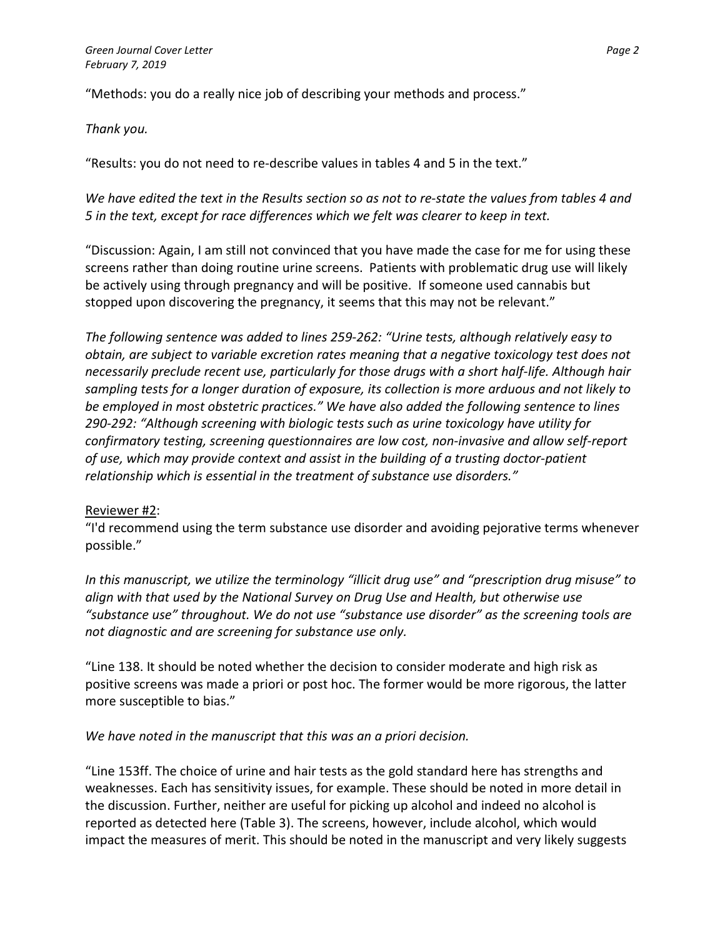"Methods: you do a really nice job of describing your methods and process."

#### *Thank you.*

"Results: you do not need to re-describe values in tables 4 and 5 in the text."

## *We have edited the text in the Results section so as not to re-state the values from tables 4 and 5 in the text, except for race differences which we felt was clearer to keep in text.*

"Discussion: Again, I am still not convinced that you have made the case for me for using these screens rather than doing routine urine screens. Patients with problematic drug use will likely be actively using through pregnancy and will be positive. If someone used cannabis but stopped upon discovering the pregnancy, it seems that this may not be relevant."

*The following sentence was added to lines 259-262: "Urine tests, although relatively easy to obtain, are subject to variable excretion rates meaning that a negative toxicology test does not necessarily preclude recent use, particularly for those drugs with a short half-life. Although hair sampling tests for a longer duration of exposure, its collection is more arduous and not likely to be employed in most obstetric practices." We have also added the following sentence to lines 290-292: "Although screening with biologic tests such as urine toxicology have utility for confirmatory testing, screening questionnaires are low cost, non-invasive and allow self-report of use, which may provide context and assist in the building of a trusting doctor-patient relationship which is essential in the treatment of substance use disorders."* 

### Reviewer #2:

"I'd recommend using the term substance use disorder and avoiding pejorative terms whenever possible."

*In this manuscript, we utilize the terminology "illicit drug use" and "prescription drug misuse" to align with that used by the National Survey on Drug Use and Health, but otherwise use "substance use" throughout. We do not use "substance use disorder" as the screening tools are not diagnostic and are screening for substance use only.* 

"Line 138. It should be noted whether the decision to consider moderate and high risk as positive screens was made a priori or post hoc. The former would be more rigorous, the latter more susceptible to bias."

### *We have noted in the manuscript that this was an a priori decision.*

"Line 153ff. The choice of urine and hair tests as the gold standard here has strengths and weaknesses. Each has sensitivity issues, for example. These should be noted in more detail in the discussion. Further, neither are useful for picking up alcohol and indeed no alcohol is reported as detected here (Table 3). The screens, however, include alcohol, which would impact the measures of merit. This should be noted in the manuscript and very likely suggests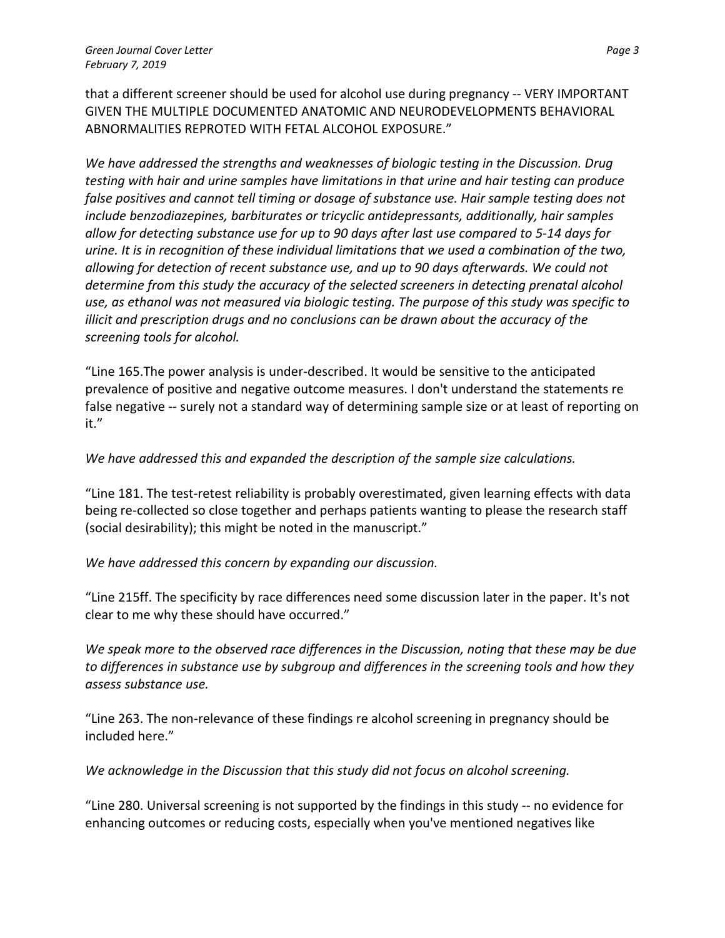that a different screener should be used for alcohol use during pregnancy -- VERY IMPORTANT GIVEN THE MULTIPLE DOCUMENTED ANATOMIC AND NEURODEVELOPMENTS BEHAVIORAL ABNORMALITIES REPROTED WITH FETAL ALCOHOL EXPOSURE."

*We have addressed the strengths and weaknesses of biologic testing in the Discussion. Drug testing with hair and urine samples have limitations in that urine and hair testing can produce false positives and cannot tell timing or dosage of substance use. Hair sample testing does not include benzodiazepines, barbiturates or tricyclic antidepressants, additionally, hair samples allow for detecting substance use for up to 90 days after last use compared to 5-14 days for urine. It is in recognition of these individual limitations that we used a combination of the two, allowing for detection of recent substance use, and up to 90 days afterwards. We could not determine from this study the accuracy of the selected screeners in detecting prenatal alcohol use, as ethanol was not measured via biologic testing. The purpose of this study was specific to illicit and prescription drugs and no conclusions can be drawn about the accuracy of the screening tools for alcohol.*

"Line 165.The power analysis is under-described. It would be sensitive to the anticipated prevalence of positive and negative outcome measures. I don't understand the statements re false negative -- surely not a standard way of determining sample size or at least of reporting on it."

### *We have addressed this and expanded the description of the sample size calculations.*

"Line 181. The test-retest reliability is probably overestimated, given learning effects with data being re-collected so close together and perhaps patients wanting to please the research staff (social desirability); this might be noted in the manuscript."

### *We have addressed this concern by expanding our discussion.*

"Line 215ff. The specificity by race differences need some discussion later in the paper. It's not clear to me why these should have occurred."

*We speak more to the observed race differences in the Discussion, noting that these may be due to differences in substance use by subgroup and differences in the screening tools and how they assess substance use.*

"Line 263. The non-relevance of these findings re alcohol screening in pregnancy should be included here."

*We acknowledge in the Discussion that this study did not focus on alcohol screening.*

"Line 280. Universal screening is not supported by the findings in this study -- no evidence for enhancing outcomes or reducing costs, especially when you've mentioned negatives like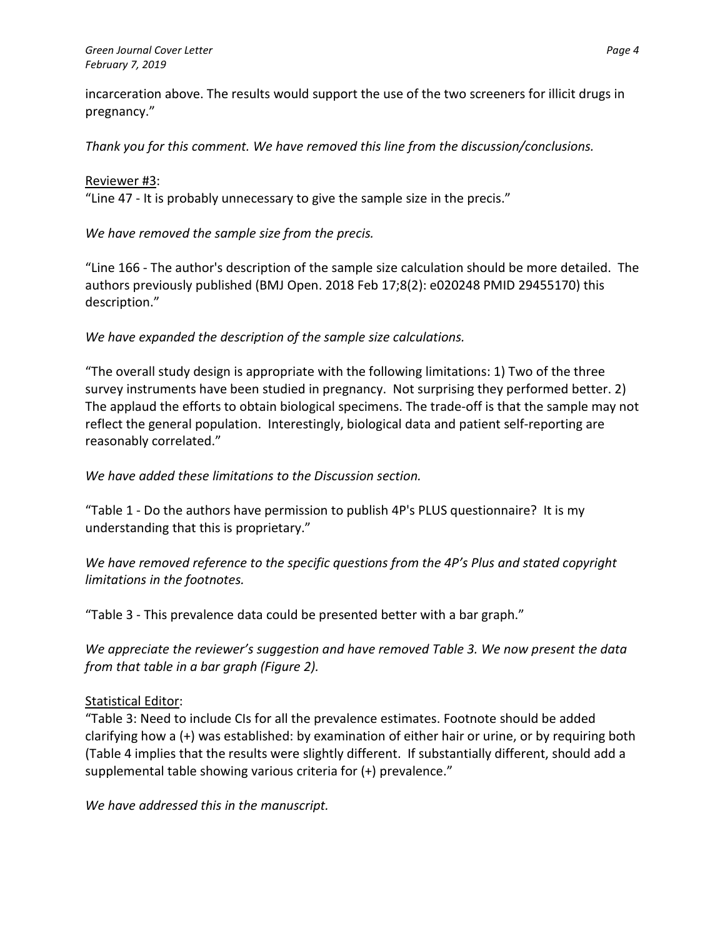#### *Green Journal Cover Letter Page 4 February 7, 2019*

incarceration above. The results would support the use of the two screeners for illicit drugs in pregnancy."

*Thank you for this comment. We have removed this line from the discussion/conclusions.*

### Reviewer #3:

"Line 47 - It is probably unnecessary to give the sample size in the precis."

*We have removed the sample size from the precis.*

"Line 166 - The author's description of the sample size calculation should be more detailed. The authors previously published (BMJ Open. 2018 Feb 17;8(2): e020248 PMID 29455170) this description."

*We have expanded the description of the sample size calculations.*

"The overall study design is appropriate with the following limitations: 1) Two of the three survey instruments have been studied in pregnancy. Not surprising they performed better. 2) The applaud the efforts to obtain biological specimens. The trade-off is that the sample may not reflect the general population. Interestingly, biological data and patient self-reporting are reasonably correlated."

*We have added these limitations to the Discussion section.* 

"Table 1 - Do the authors have permission to publish 4P's PLUS questionnaire? It is my understanding that this is proprietary."

*We have removed reference to the specific questions from the 4P's Plus and stated copyright limitations in the footnotes.*

"Table 3 - This prevalence data could be presented better with a bar graph."

*We appreciate the reviewer's suggestion and have removed Table 3. We now present the data from that table in a bar graph (Figure 2).*

# Statistical Editor:

"Table 3: Need to include CIs for all the prevalence estimates. Footnote should be added clarifying how a (+) was established: by examination of either hair or urine, or by requiring both (Table 4 implies that the results were slightly different. If substantially different, should add a supplemental table showing various criteria for (+) prevalence."

*We have addressed this in the manuscript.*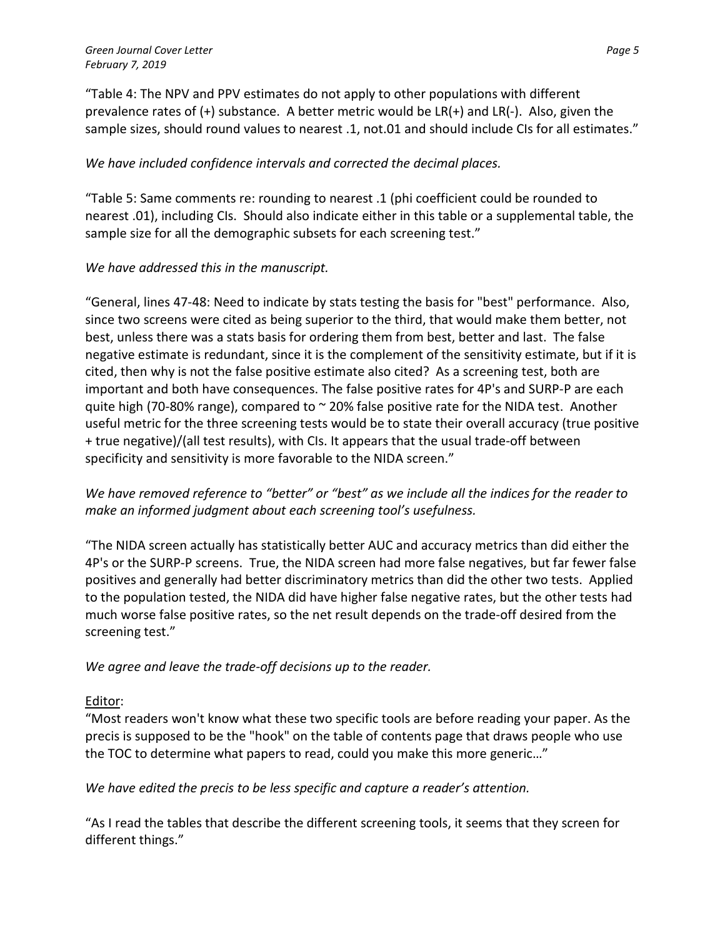"Table 4: The NPV and PPV estimates do not apply to other populations with different prevalence rates of (+) substance. A better metric would be LR(+) and LR(-). Also, given the sample sizes, should round values to nearest .1, not.01 and should include CIs for all estimates."

## *We have included confidence intervals and corrected the decimal places.*

"Table 5: Same comments re: rounding to nearest .1 (phi coefficient could be rounded to nearest .01), including CIs. Should also indicate either in this table or a supplemental table, the sample size for all the demographic subsets for each screening test."

### *We have addressed this in the manuscript.*

"General, lines 47-48: Need to indicate by stats testing the basis for "best" performance. Also, since two screens were cited as being superior to the third, that would make them better, not best, unless there was a stats basis for ordering them from best, better and last. The false negative estimate is redundant, since it is the complement of the sensitivity estimate, but if it is cited, then why is not the false positive estimate also cited? As a screening test, both are important and both have consequences. The false positive rates for 4P's and SURP-P are each quite high (70-80% range), compared to  $\sim$  20% false positive rate for the NIDA test. Another useful metric for the three screening tests would be to state their overall accuracy (true positive + true negative)/(all test results), with CIs. It appears that the usual trade-off between specificity and sensitivity is more favorable to the NIDA screen."

*We have removed reference to "better" or "best" as we include all the indices for the reader to make an informed judgment about each screening tool's usefulness.*

"The NIDA screen actually has statistically better AUC and accuracy metrics than did either the 4P's or the SURP-P screens. True, the NIDA screen had more false negatives, but far fewer false positives and generally had better discriminatory metrics than did the other two tests. Applied to the population tested, the NIDA did have higher false negative rates, but the other tests had much worse false positive rates, so the net result depends on the trade-off desired from the screening test."

*We agree and leave the trade-off decisions up to the reader.*

## Editor:

"Most readers won't know what these two specific tools are before reading your paper. As the precis is supposed to be the "hook" on the table of contents page that draws people who use the TOC to determine what papers to read, could you make this more generic…"

*We have edited the precis to be less specific and capture a reader's attention.*

"As I read the tables that describe the different screening tools, it seems that they screen for different things."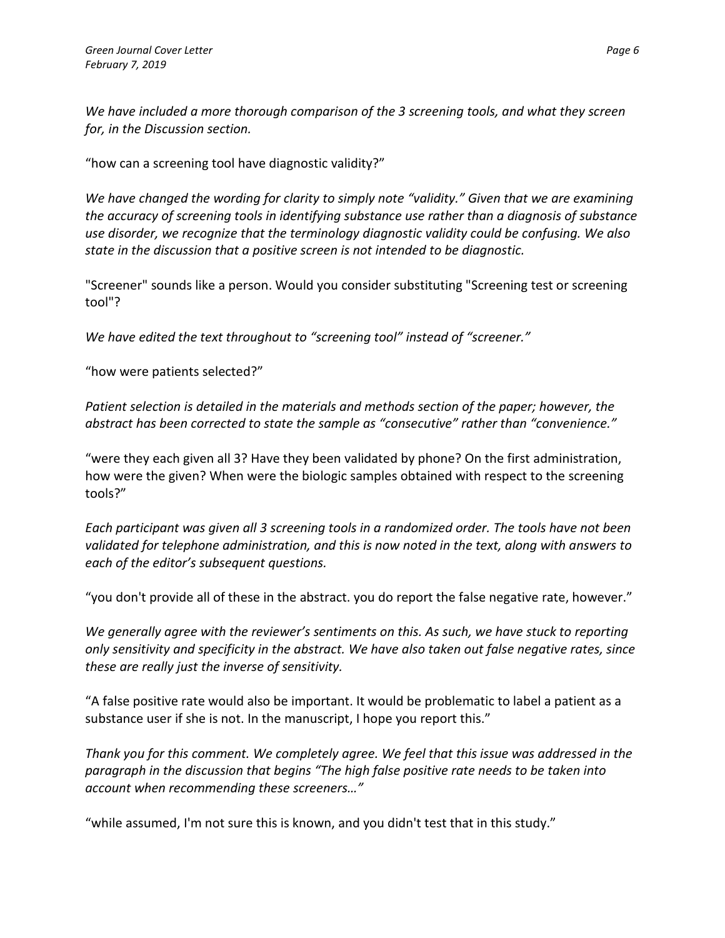*We have included a more thorough comparison of the 3 screening tools, and what they screen for, in the Discussion section.*

"how can a screening tool have diagnostic validity?"

*We have changed the wording for clarity to simply note "validity." Given that we are examining the accuracy of screening tools in identifying substance use rather than a diagnosis of substance use disorder, we recognize that the terminology diagnostic validity could be confusing. We also state in the discussion that a positive screen is not intended to be diagnostic.*

"Screener" sounds like a person. Would you consider substituting "Screening test or screening tool"?

*We have edited the text throughout to "screening tool" instead of "screener."*

"how were patients selected?"

*Patient selection is detailed in the materials and methods section of the paper; however, the abstract has been corrected to state the sample as "consecutive" rather than "convenience."*

"were they each given all 3? Have they been validated by phone? On the first administration, how were the given? When were the biologic samples obtained with respect to the screening tools?"

*Each participant was given all 3 screening tools in a randomized order. The tools have not been validated for telephone administration, and this is now noted in the text, along with answers to each of the editor's subsequent questions.*

"you don't provide all of these in the abstract. you do report the false negative rate, however."

*We generally agree with the reviewer's sentiments on this. As such, we have stuck to reporting only sensitivity and specificity in the abstract. We have also taken out false negative rates, since these are really just the inverse of sensitivity.*

"A false positive rate would also be important. It would be problematic to label a patient as a substance user if she is not. In the manuscript, I hope you report this."

*Thank you for this comment. We completely agree. We feel that this issue was addressed in the paragraph in the discussion that begins "The high false positive rate needs to be taken into account when recommending these screeners…"*

"while assumed, I'm not sure this is known, and you didn't test that in this study."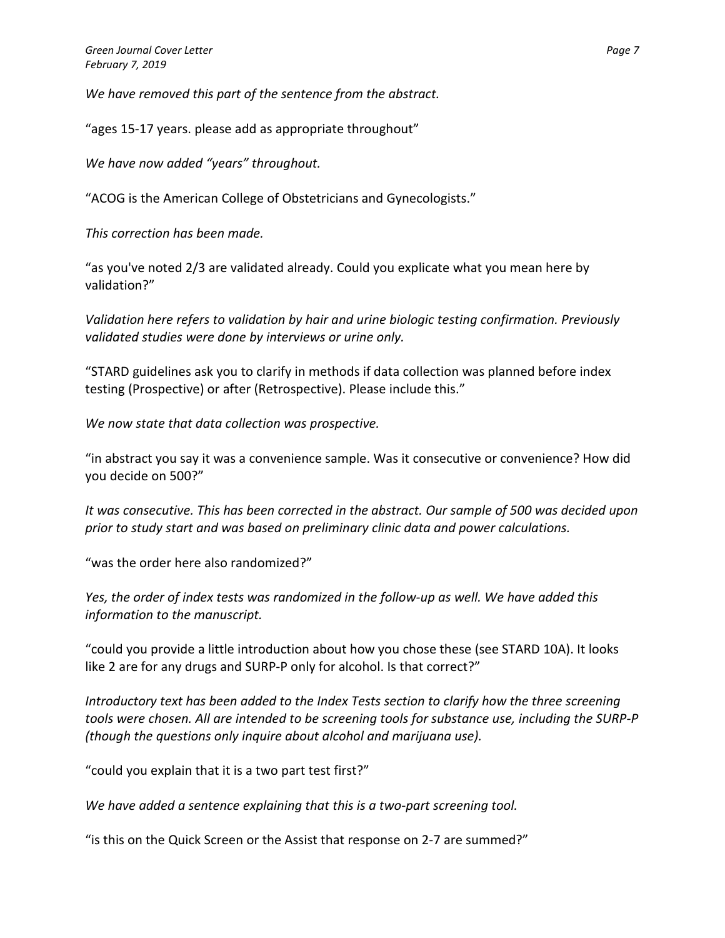*We have removed this part of the sentence from the abstract.*

"ages 15-17 years. please add as appropriate throughout"

*We have now added "years" throughout.* 

"ACOG is the American College of Obstetricians and Gynecologists."

*This correction has been made.*

"as you've noted 2/3 are validated already. Could you explicate what you mean here by validation?"

*Validation here refers to validation by hair and urine biologic testing confirmation. Previously validated studies were done by interviews or urine only.*

"STARD guidelines ask you to clarify in methods if data collection was planned before index testing (Prospective) or after (Retrospective). Please include this."

*We now state that data collection was prospective.*

"in abstract you say it was a convenience sample. Was it consecutive or convenience? How did you decide on 500?"

*It was consecutive. This has been corrected in the abstract. Our sample of 500 was decided upon prior to study start and was based on preliminary clinic data and power calculations.*

"was the order here also randomized?"

*Yes, the order of index tests was randomized in the follow-up as well. We have added this information to the manuscript.*

"could you provide a little introduction about how you chose these (see STARD 10A). It looks like 2 are for any drugs and SURP-P only for alcohol. Is that correct?"

*Introductory text has been added to the Index Tests section to clarify how the three screening tools were chosen. All are intended to be screening tools for substance use, including the SURP-P (though the questions only inquire about alcohol and marijuana use).*

"could you explain that it is a two part test first?"

*We have added a sentence explaining that this is a two-part screening tool.*

"is this on the Quick Screen or the Assist that response on 2-7 are summed?"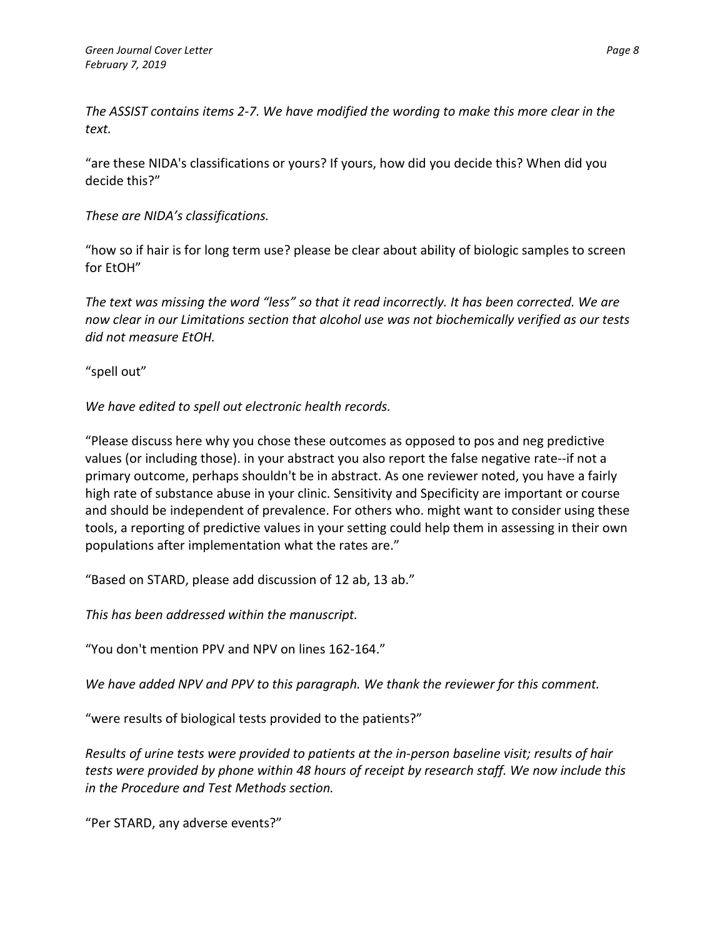*The ASSIST contains items 2-7. We have modified the wording to make this more clear in the text.*

"are these NIDA's classifications or yours? If yours, how did you decide this? When did you decide this?"

*These are NIDA's classifications.*

"how so if hair is for long term use? please be clear about ability of biologic samples to screen for EtOH"

*The text was missing the word "less" so that it read incorrectly. It has been corrected. We are now clear in our Limitations section that alcohol use was not biochemically verified as our tests did not measure EtOH.*

"spell out"

*We have edited to spell out electronic health records.*

"Please discuss here why you chose these outcomes as opposed to pos and neg predictive values (or including those). in your abstract you also report the false negative rate--if not a primary outcome, perhaps shouldn't be in abstract. As one reviewer noted, you have a fairly high rate of substance abuse in your clinic. Sensitivity and Specificity are important or course and should be independent of prevalence. For others who. might want to consider using these tools, a reporting of predictive values in your setting could help them in assessing in their own populations after implementation what the rates are."

"Based on STARD, please add discussion of 12 ab, 13 ab."

*This has been addressed within the manuscript.*

"You don't mention PPV and NPV on lines 162-164."

*We have added NPV and PPV to this paragraph. We thank the reviewer for this comment.* 

"were results of biological tests provided to the patients?"

*Results of urine tests were provided to patients at the in-person baseline visit; results of hair tests were provided by phone within 48 hours of receipt by research staff. We now include this in the Procedure and Test Methods section.*

"Per STARD, any adverse events?"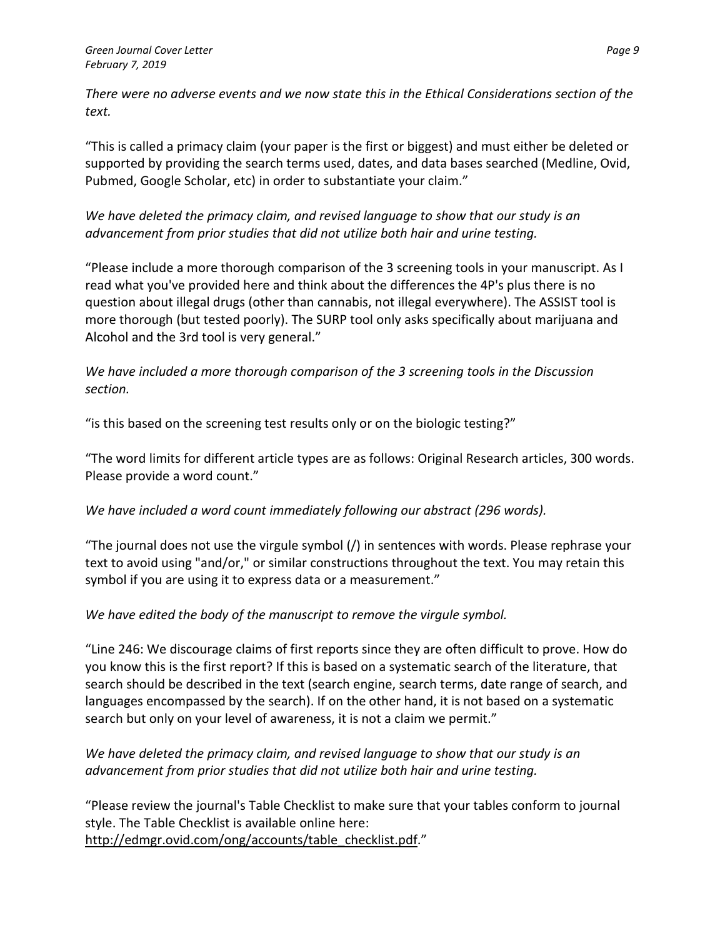*There were no adverse events and we now state this in the Ethical Considerations section of the text.*

"This is called a primacy claim (your paper is the first or biggest) and must either be deleted or supported by providing the search terms used, dates, and data bases searched (Medline, Ovid, Pubmed, Google Scholar, etc) in order to substantiate your claim."

## *We have deleted the primacy claim, and revised language to show that our study is an advancement from prior studies that did not utilize both hair and urine testing.*

"Please include a more thorough comparison of the 3 screening tools in your manuscript. As I read what you've provided here and think about the differences the 4P's plus there is no question about illegal drugs (other than cannabis, not illegal everywhere). The ASSIST tool is more thorough (but tested poorly). The SURP tool only asks specifically about marijuana and Alcohol and the 3rd tool is very general."

## *We have included a more thorough comparison of the 3 screening tools in the Discussion section.*

"is this based on the screening test results only or on the biologic testing?"

"The word limits for different article types are as follows: Original Research articles, 300 words. Please provide a word count."

# *We have included a word count immediately following our abstract (296 words).*

"The journal does not use the virgule symbol (/) in sentences with words. Please rephrase your text to avoid using "and/or," or similar constructions throughout the text. You may retain this symbol if you are using it to express data or a measurement."

# *We have edited the body of the manuscript to remove the virgule symbol.*

"Line 246: We discourage claims of first reports since they are often difficult to prove. How do you know this is the first report? If this is based on a systematic search of the literature, that search should be described in the text (search engine, search terms, date range of search, and languages encompassed by the search). If on the other hand, it is not based on a systematic search but only on your level of awareness, it is not a claim we permit."

# *We have deleted the primacy claim, and revised language to show that our study is an advancement from prior studies that did not utilize both hair and urine testing.*

"Please review the journal's Table Checklist to make sure that your tables conform to journal style. The Table Checklist is available online here: [http://edmgr.ovid.com/ong/accounts/table\\_checklist.pdf.](https://na01.safelinks.protection.outlook.com/?url=http%3A%2F%2Fedmgr.ovid.com%2Fong%2Faccounts%2Ftable_checklist.pdf&data=02%7C01%7Cvcolemancowger%40emmes.com%7C32783bef58894419db3808d6819662a5%7C4aedf6ad32c04bb6b6bcaf5597447e81%7C0%7C0%7C636838880242680081&sdata=E%2B7R98q67e6AQVLHQqaY4BvO2ZRs0767Zw%2FKfg82C7M%3D&reserved=0)"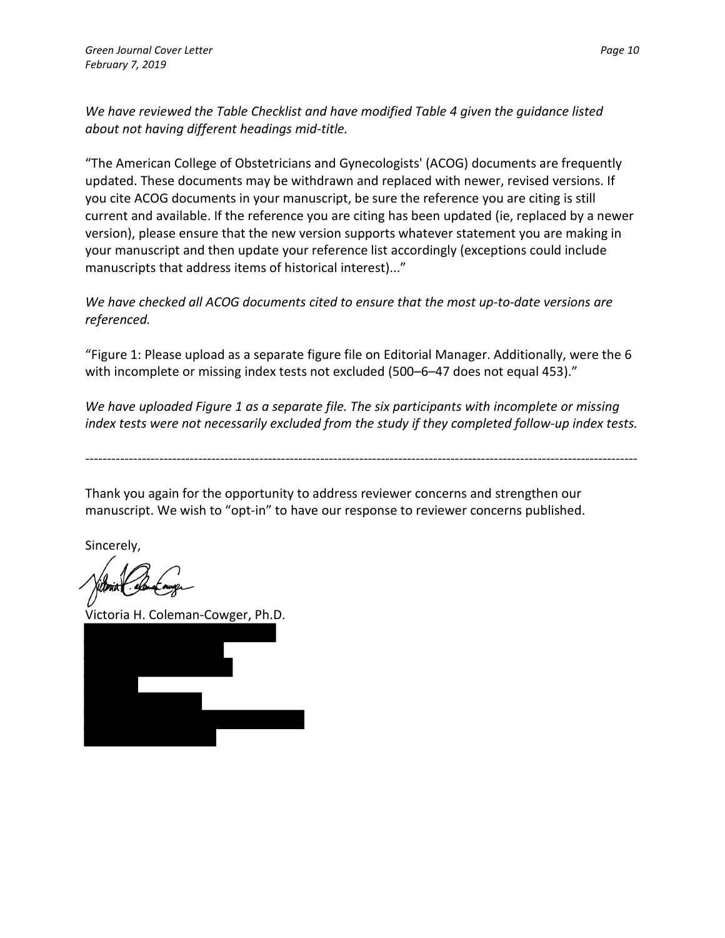*We have reviewed the Table Checklist and have modified Table 4 given the guidance listed about not having different headings mid-title.*

"The American College of Obstetricians and Gynecologists' (ACOG) documents are frequently updated. These documents may be withdrawn and replaced with newer, revised versions. If you cite ACOG documents in your manuscript, be sure the reference you are citing is still current and available. If the reference you are citing has been updated (ie, replaced by a newer version), please ensure that the new version supports whatever statement you are making in your manuscript and then update your reference list accordingly (exceptions could include manuscripts that address items of historical interest)..."

*We have checked all ACOG documents cited to ensure that the most up-to-date versions are referenced.*

"Figure 1: Please upload as a separate figure file on Editorial Manager. Additionally, were the 6 with incomplete or missing index tests not excluded (500–6–47 does not equal 453)."

*We have uploaded Figure 1 as a separate file. The six participants with incomplete or missing index tests were not necessarily excluded from the study if they completed follow-up index tests.*

-------------------------------------------------------------------------------------------------------------------------------

Thank you again for the opportunity to address reviewer concerns and strengthen our manuscript. We wish to "opt-in" to have our response to reviewer concerns published.

Sincerely,

Victoria H. Coleman-Cowger, Ph.D.

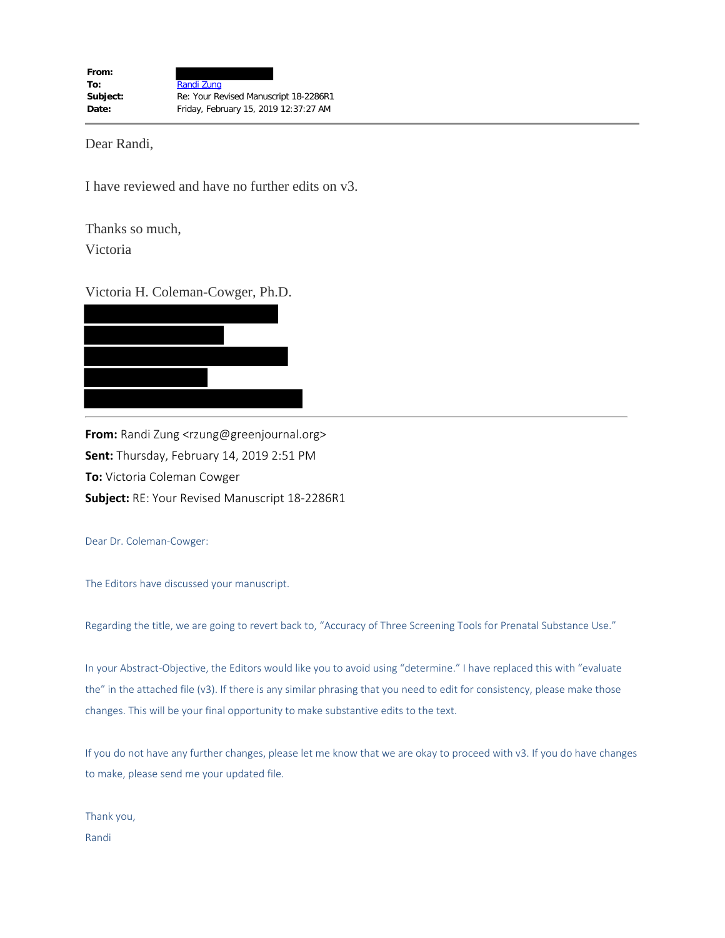Dear Randi,

I have reviewed and have no further edits on v3.

Thanks so much,

Victoria

#### Victoria H. Coleman-Cowger, Ph.D.



**From:** Randi Zung <rzung@greenjournal.org> **Sent:** Thursday, February 14, 2019 2:51 PM **To:** Victoria Coleman Cowger **Subject:** RE: Your Revised Manuscript 18-2286R1

Dear Dr. Coleman-Cowger:

The Editors have discussed your manuscript.

Regarding the title, we are going to revert back to, "Accuracy of Three Screening Tools for Prenatal Substance Use."

In your Abstract-Objective, the Editors would like you to avoid using "determine." I have replaced this with "evaluate the" in the attached file (v3). If there is any similar phrasing that you need to edit for consistency, please make those changes. This will be your final opportunity to make substantive edits to the text.

If you do not have any further changes, please let me know that we are okay to proceed with v3. If you do have changes to make, please send me your updated file.

Thank you, Randi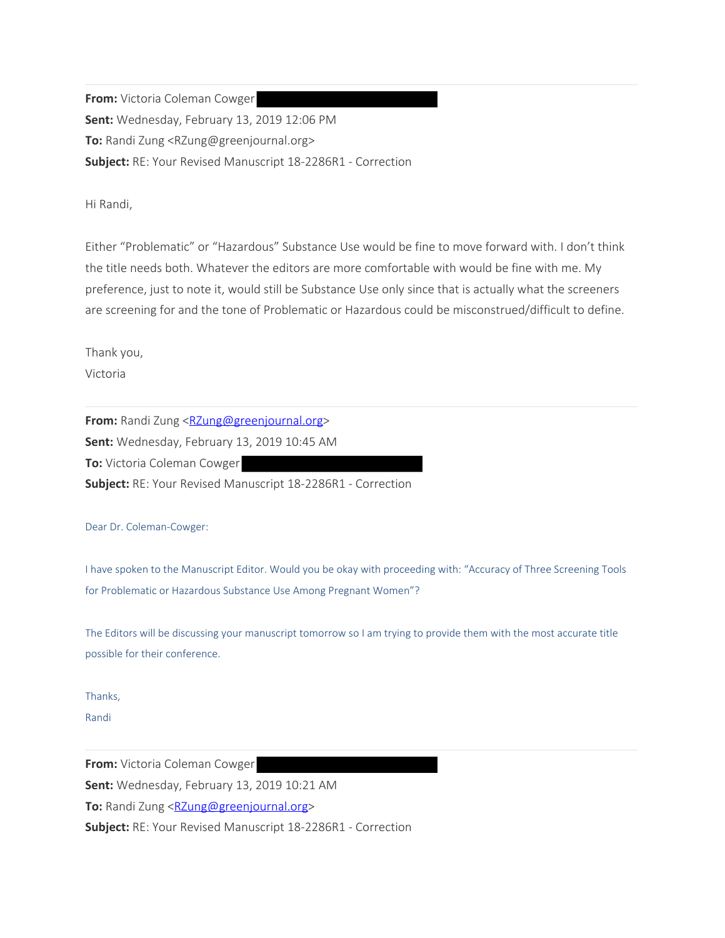**From:** Victoria Coleman Cowger **Sent:** Wednesday, February 13, 2019 12:06 PM **To:** Randi Zung <RZung@greenjournal.org> **Subject:** RE: Your Revised Manuscript 18-2286R1 - Correction

Hi Randi,

Either "Problematic" or "Hazardous" Substance Use would be fine to move forward with. I don't think the title needs both. Whatever the editors are more comfortable with would be fine with me. My preference, just to note it, would still be Substance Use only since that is actually what the screeners are screening for and the tone of Problematic or Hazardous could be misconstrued/difficult to define.

Thank you,

Victoria

**From:** Randi Zung <RZung@greenjournal.org> **Sent:** Wednesday, February 13, 2019 10:45 AM **To:** Victoria Coleman Cowger **Subject:** RE: Your Revised Manuscript 18-2286R1 - Correction

Dear Dr. Coleman-Cowger:

I have spoken to the Manuscript Editor. Would you be okay with proceeding with: "Accuracy of Three Screening Tools for Problematic or Hazardous Substance Use Among Pregnant Women"?

The Editors will be discussing your manuscript tomorrow so I am trying to provide them with the most accurate title possible for their conference.

Thanks,

Randi

**From:** Victoria Coleman Cowger

**Sent:** Wednesday, February 13, 2019 10:21 AM

**To:** Randi Zung <RZung@greenjournal.org>

**Subject:** RE: Your Revised Manuscript 18-2286R1 - Correction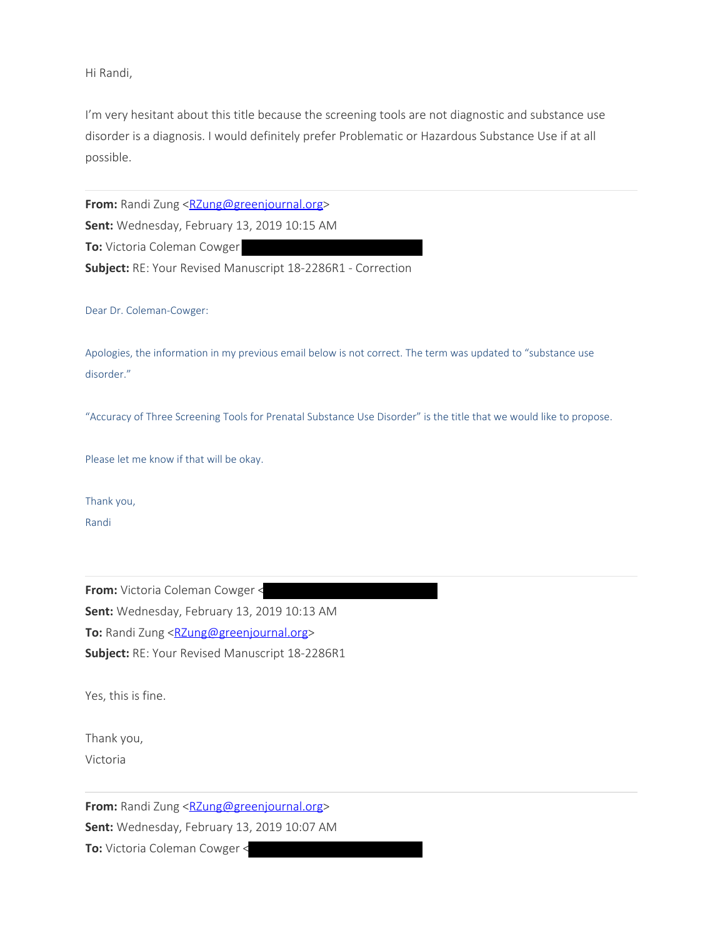Hi Randi,

I'm very hesitant about this title because the screening tools are not diagnostic and substance use disorder is a diagnosis. I would definitely prefer Problematic or Hazardous Substance Use if at all possible.

**From:** Randi Zung <RZung@greenjournal.org> **Sent:** Wednesday, February 13, 2019 10:15 AM **To:** Victoria Coleman Cowger **Subject:** RE: Your Revised Manuscript 18-2286R1 - Correction

Dear Dr. Coleman-Cowger:

Apologies, the information in my previous email below is not correct. The term was updated to "substance use disorder."

"Accuracy of Three Screening Tools for Prenatal Substance Use Disorder" is the title that we would like to propose.

Please let me know if that will be okay.

Thank you,

Randi

**From:** Victoria Coleman Cowger < **Sent:** Wednesday, February 13, 2019 10:13 AM **To:** Randi Zung <RZung@greenjournal.org> **Subject:** RE: Your Revised Manuscript 18-2286R1

Yes, this is fine.

Thank you, Victoria

**From:** Randi Zung <RZung@greenjournal.org> **Sent:** Wednesday, February 13, 2019 10:07 AM **To:** Victoria Coleman Cowger <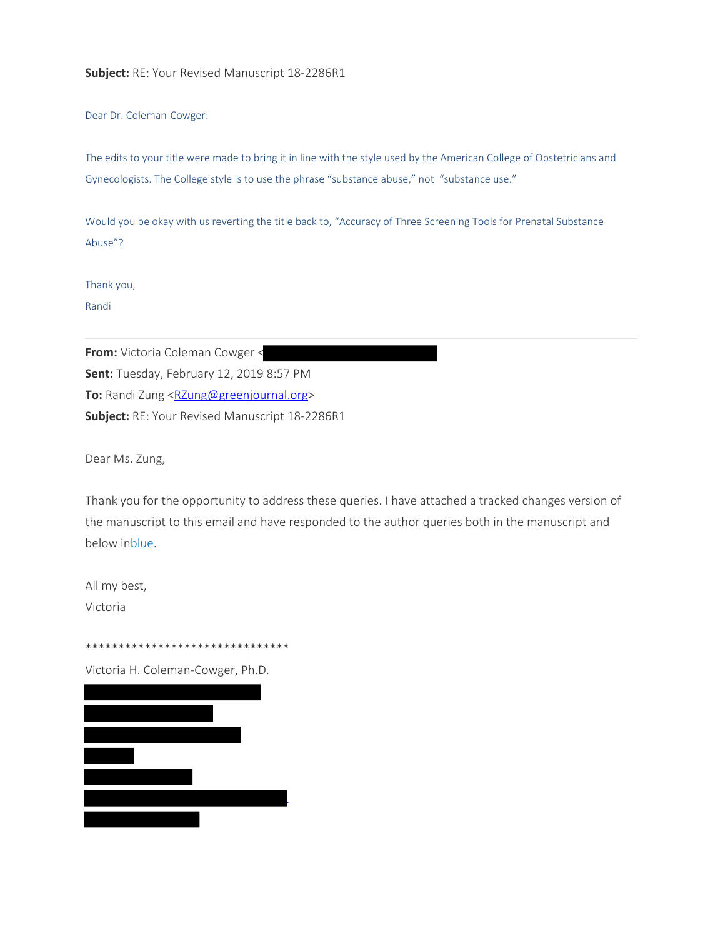#### **Subject:** RE: Your Revised Manuscript 18-2286R1

Dear Dr. Coleman-Cowger:

The edits to your title were made to bring it in line with the style used by the American College of Obstetricians and Gynecologists. The College style is to use the phrase "substance abuse," not "substance use."

Would you be okay with us reverting the title back to, "Accuracy of Three Screening Tools for Prenatal Substance Abuse"?

Thank you,

Randi

**From:** Victoria Coleman Cowger < **Sent:** Tuesday, February 12, 2019 8:57 PM **To:** Randi Zung <RZung@greenjournal.org> **Subject:** RE: Your Revised Manuscript 18-2286R1

Dear Ms. Zung,

Thank you for the opportunity to address these queries. I have attached a tracked changes version of the manuscript to this email and have responded to the author queries both in the manuscript and below inblue.

All my best, Victoria

\*\*\*\*\*\*\*\*\*\*\*\*\*\*\*\*\*\*\*\*\*\*\*\*\*\*\*\*\*\*\* Victoria H. Coleman-Cowger, Ph.D.

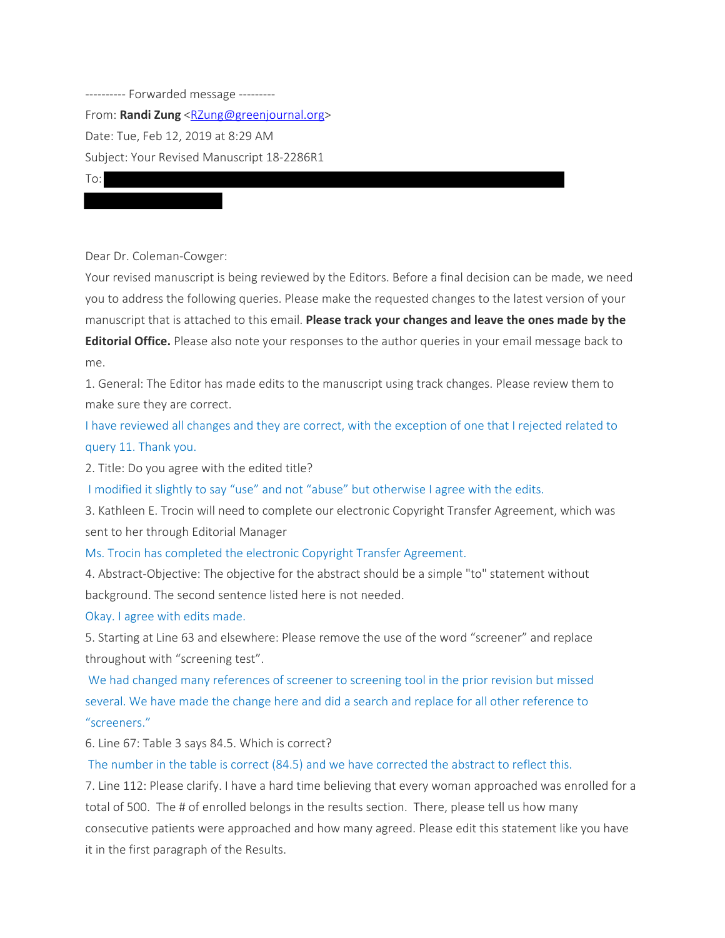---------- Forwarded message --------- From: **Randi Zung** <RZung@greenjournal.org> Date: Tue, Feb 12, 2019 at 8:29 AM Subject: Your Revised Manuscript 18-2286R1 To:

Dear Dr. Coleman-Cowger:

Your revised manuscript is being reviewed by the Editors. Before a final decision can be made, we need you to address the following queries. Please make the requested changes to the latest version of your manuscript that is attached to this email. **Please track your changes and leave the ones made by the Editorial Office.** Please also note your responses to the author queries in your email message back to me.

1. General: The Editor has made edits to the manuscript using track changes. Please review them to make sure they are correct.

I have reviewed all changes and they are correct, with the exception of one that I rejected related to query 11. Thank you.

2. Title: Do you agree with the edited title?

I modified it slightly to say "use" and not "abuse" but otherwise I agree with the edits.

3. Kathleen E. Trocin will need to complete our electronic Copyright Transfer Agreement, which was sent to her through Editorial Manager

Ms. Trocin has completed the electronic Copyright Transfer Agreement.

4. Abstract-Objective: The objective for the abstract should be a simple "to" statement without background. The second sentence listed here is not needed.

Okay. I agree with edits made.

5. Starting at Line 63 and elsewhere: Please remove the use of the word "screener" and replace throughout with "screening test".

We had changed many references of screener to screening tool in the prior revision but missed several. We have made the change here and did a search and replace for all other reference to "screeners."

6. Line 67: Table 3 says 84.5. Which is correct?

The number in the table is correct (84.5) and we have corrected the abstract to reflect this.

7. Line 112: Please clarify. I have a hard time believing that every woman approached was enrolled for a total of 500. The # of enrolled belongs in the results section. There, please tell us how many consecutive patients were approached and how many agreed. Please edit this statement like you have it in the first paragraph of the Results.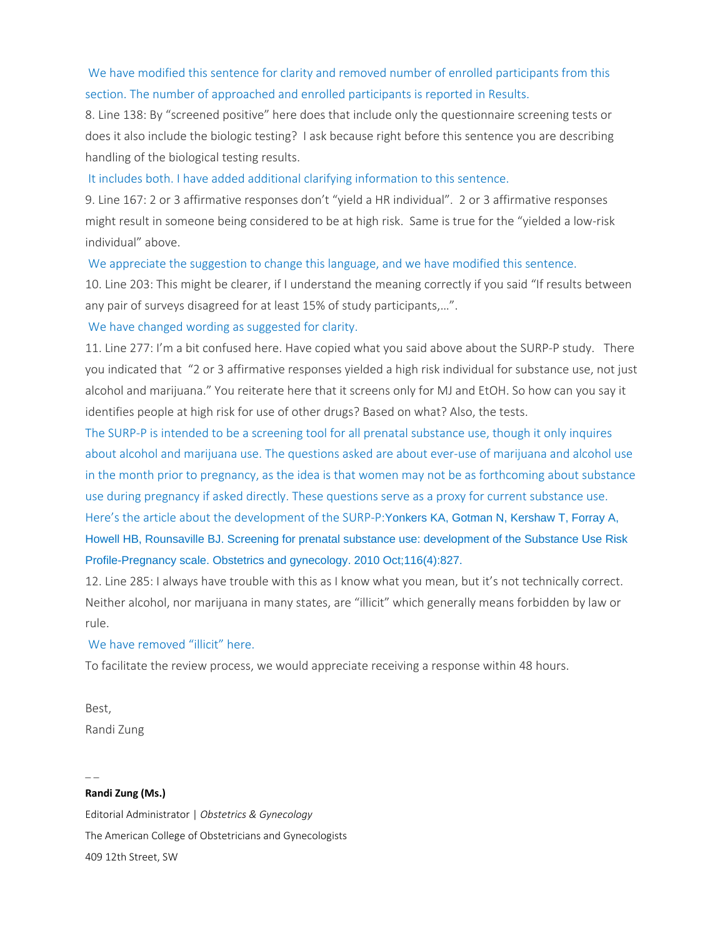# We have modified this sentence for clarity and removed number of enrolled participants from this section. The number of approached and enrolled participants is reported in Results.

8. Line 138: By "screened positive" here does that include only the questionnaire screening tests or does it also include the biologic testing? I ask because right before this sentence you are describing handling of the biological testing results.

It includes both. I have added additional clarifying information to this sentence.

9. Line 167: 2 or 3 affirmative responses don't "yield a HR individual". 2 or 3 affirmative responses might result in someone being considered to be at high risk. Same is true for the "yielded a low-risk individual" above.

We appreciate the suggestion to change this language, and we have modified this sentence.

10. Line 203: This might be clearer, if I understand the meaning correctly if you said "If results between any pair of surveys disagreed for at least 15% of study participants,…".

We have changed wording as suggested for clarity.

11. Line 277: I'm a bit confused here. Have copied what you said above about the SURP-P study. There you indicated that "2 or 3 affirmative responses yielded a high risk individual for substance use, not just alcohol and marijuana." You reiterate here that it screens only for MJ and EtOH. So how can you say it identifies people at high risk for use of other drugs? Based on what? Also, the tests.

The SURP-P is intended to be a screening tool for all prenatal substance use, though it only inquires about alcohol and marijuana use. The questions asked are about ever-use of marijuana and alcohol use in the month prior to pregnancy, as the idea is that women may not be as forthcoming about substance use during pregnancy if asked directly. These questions serve as a proxy for current substance use. Here's the article about the development of the SURP-P:Yonkers KA, Gotman N, Kershaw T, Forray A, Howell HB, Rounsaville BJ. Screening for prenatal substance use: development of the Substance Use Risk Profile-Pregnancy scale. Obstetrics and gynecology. 2010 Oct;116(4):827.

12. Line 285: I always have trouble with this as I know what you mean, but it's not technically correct. Neither alcohol, nor marijuana in many states, are "illicit" which generally means forbidden by law or rule.

We have removed "illicit" here.

To facilitate the review process, we would appreciate receiving a response within 48 hours.

Best, Randi Zung

# **Randi Zung (Ms.)**

 $\overline{\phantom{a}}$ 

Editorial Administrator | *Obstetrics & Gynecology* The American College of Obstetricians and Gynecologists 409 12th Street, SW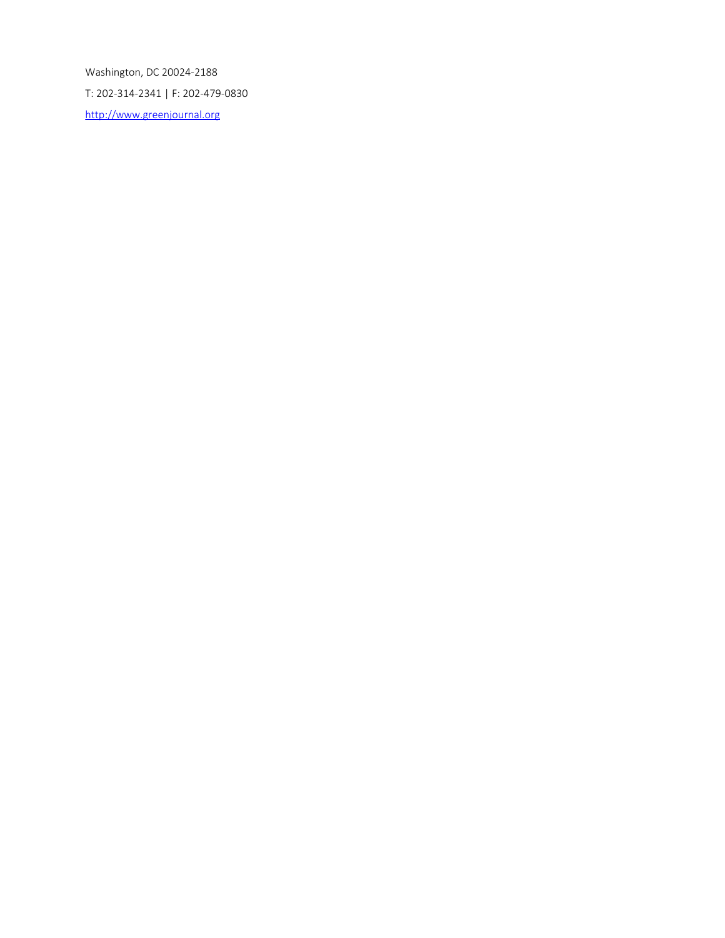Washington, DC 20024-2188 T: 202-314-2341 | F: 202-479-0830 http://www.greenjournal.org